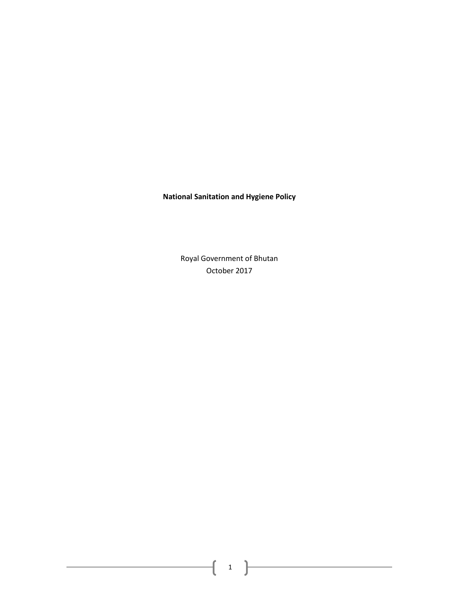# **National Sanitation and Hygiene Policy**

Royal Government of Bhutan October 2017

 $\begin{pmatrix} 1 \end{pmatrix}$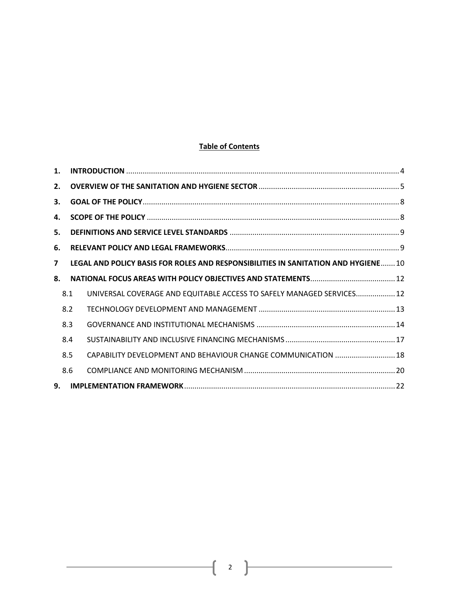# **Table of Contents**

| 1.                      |     |                                                                                    |  |
|-------------------------|-----|------------------------------------------------------------------------------------|--|
| 2.                      |     |                                                                                    |  |
| 3.                      |     |                                                                                    |  |
| 4.                      |     |                                                                                    |  |
| 5.                      |     |                                                                                    |  |
| 6.                      |     |                                                                                    |  |
| $\overline{\mathbf{z}}$ |     | LEGAL AND POLICY BASIS FOR ROLES AND RESPONSIBILITIES IN SANITATION AND HYGIENE 10 |  |
| 8.                      |     |                                                                                    |  |
|                         | 8.1 | UNIVERSAL COVERAGE AND EQUITABLE ACCESS TO SAFELY MANAGED SERVICES 12              |  |
|                         | 8.2 |                                                                                    |  |
|                         | 8.3 |                                                                                    |  |
|                         | 8.4 |                                                                                    |  |
|                         | 8.5 | CAPABILITY DEVELOPMENT AND BEHAVIOUR CHANGE COMMUNICATION  18                      |  |
|                         | 8.6 |                                                                                    |  |
| 9.                      |     |                                                                                    |  |

 $\begin{bmatrix} 2 \end{bmatrix}$ 

ſ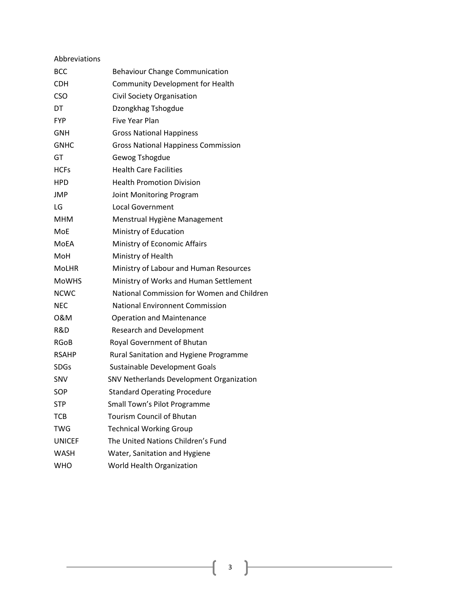| Abbreviations |                                            |
|---------------|--------------------------------------------|
| <b>BCC</b>    | <b>Behaviour Change Communication</b>      |
| <b>CDH</b>    | Community Development for Health           |
| <b>CSO</b>    | Civil Society Organisation                 |
| DT            | Dzongkhag Tshogdue                         |
| <b>FYP</b>    | <b>Five Year Plan</b>                      |
| <b>GNH</b>    | <b>Gross National Happiness</b>            |
| <b>GNHC</b>   | <b>Gross National Happiness Commission</b> |
| GT            | Gewog Tshogdue                             |
| <b>HCFs</b>   | <b>Health Care Facilities</b>              |
| <b>HPD</b>    | <b>Health Promotion Division</b>           |
| <b>JMP</b>    | Joint Monitoring Program                   |
| LG            | <b>Local Government</b>                    |
| <b>MHM</b>    | Menstrual Hygiène Management               |
| MoE           | Ministry of Education                      |
| <b>MOEA</b>   | Ministry of Economic Affairs               |
| MoH           | Ministry of Health                         |
| <b>MoLHR</b>  | Ministry of Labour and Human Resources     |
| <b>MoWHS</b>  | Ministry of Works and Human Settlement     |
| <b>NCWC</b>   | National Commission for Women and Children |
| <b>NEC</b>    | <b>National Environnent Commission</b>     |
| 0&M           | <b>Operation and Maintenance</b>           |
| R&D           | <b>Research and Development</b>            |
| <b>RGoB</b>   | Royal Government of Bhutan                 |
| <b>RSAHP</b>  | Rural Sanitation and Hygiene Programme     |
| <b>SDGs</b>   | Sustainable Development Goals              |
| <b>SNV</b>    | SNV Netherlands Development Organization   |
| SOP           | <b>Standard Operating Procedure</b>        |
| <b>STP</b>    | Small Town's Pilot Programme               |
| <b>TCB</b>    | <b>Tourism Council of Bhutan</b>           |
| <b>TWG</b>    | <b>Technical Working Group</b>             |
| <b>UNICEF</b> | The United Nations Children's Fund         |
| <b>WASH</b>   | Water, Sanitation and Hygiene              |
| <b>WHO</b>    | World Health Organization                  |

 $\begin{pmatrix} 3 \end{pmatrix}$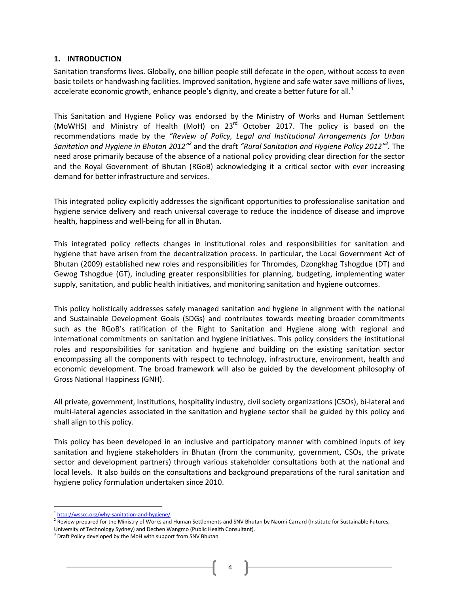#### <span id="page-3-0"></span>**1. INTRODUCTION**

Sanitation transforms lives. Globally, one billion people still defecate in the open, without access to even basic toilets or handwashing facilities. Improved sanitation, hygiene and safe water save millions of lives, accelerate economic growth, enhance people's dignity, and create a better future for all. $<sup>1</sup>$ </sup>

This Sanitation and Hygiene Policy was endorsed by the Ministry of Works and Human Settlement (MoWHS) and Ministry of Health (MoH) on 23<sup>rd</sup> October 2017. The policy is based on the recommendations made by the *"Review of Policy, Legal and Institutional Arrangements for Urban*  Sanitation and Hygiene in Bhutan 2012<sup>"2</sup> and the draft "Rural Sanitation and Hygiene Policy 2012"<sup>3</sup>. The need arose primarily because of the absence of a national policy providing clear direction for the sector and the Royal Government of Bhutan (RGoB) acknowledging it a critical sector with ever increasing demand for better infrastructure and services.

This integrated policy explicitly addresses the significant opportunities to professionalise sanitation and hygiene service delivery and reach universal coverage to reduce the incidence of disease and improve health, happiness and well-being for all in Bhutan.

This integrated policy reflects changes in institutional roles and responsibilities for sanitation and hygiene that have arisen from the decentralization process. In particular, the Local Government Act of Bhutan (2009) established new roles and responsibilities for Thromdes, Dzongkhag Tshogdue (DT) and Gewog Tshogdue (GT), including greater responsibilities for planning, budgeting, implementing water supply, sanitation, and public health initiatives, and monitoring sanitation and hygiene outcomes.

This policy holistically addresses safely managed sanitation and hygiene in alignment with the national and Sustainable Development Goals (SDGs) and contributes towards meeting broader commitments such as the RGoB's ratification of the Right to Sanitation and Hygiene along with regional and international commitments on sanitation and hygiene initiatives. This policy considers the institutional roles and responsibilities for sanitation and hygiene and building on the existing sanitation sector encompassing all the components with respect to technology, infrastructure, environment, health and economic development. The broad framework will also be guided by the development philosophy of Gross National Happiness (GNH).

All private, government, Institutions, hospitality industry, civil society organizations (CSOs), bi-lateral and multi-lateral agencies associated in the sanitation and hygiene sector shall be guided by this policy and shall align to this policy.

This policy has been developed in an inclusive and participatory manner with combined inputs of key sanitation and hygiene stakeholders in Bhutan (from the community, government, CSOs, the private sector and development partners) through various stakeholder consultations both at the national and local levels. It also builds on the consultations and background preparations of the rural sanitation and hygiene policy formulation undertaken since 2010.

l

<sup>&</sup>lt;sup>1</sup><http://wsscc.org/why-sanitation-and-hygiene/>

<sup>&</sup>lt;sup>2</sup> Review prepared for the Ministry of Works and Human Settlements and SNV Bhutan by Naomi Carrard (Institute for Sustainable Futures, University of Technology Sydney) and Dechen Wangmo (Public Health Consultant).

 $3$  Draft Policy developed by the MoH with support from SNV Bhutan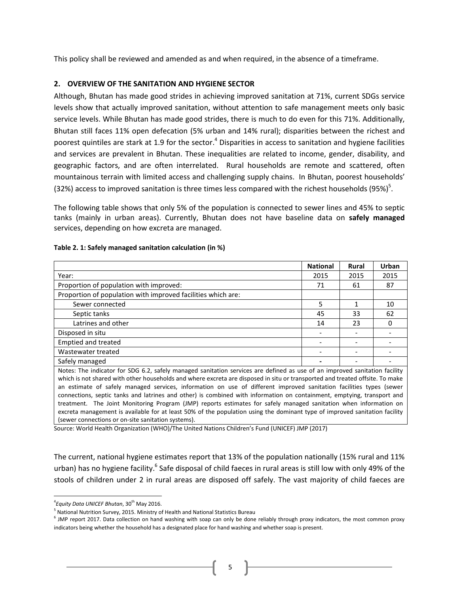This policy shall be reviewed and amended as and when required, in the absence of a timeframe.

#### <span id="page-4-0"></span>**2. OVERVIEW OF THE SANITATION AND HYGIENE SECTOR**

Although, Bhutan has made good strides in achieving improved sanitation at 71%, current SDGs service levels show that actually improved sanitation, without attention to safe management meets only basic service levels. While Bhutan has made good strides, there is much to do even for this 71%. Additionally, Bhutan still faces 11% open defecation (5% urban and 14% rural); disparities between the richest and poorest quintiles are stark at 1.9 for the sector.<sup>4</sup> Disparities in access to sanitation and hygiene facilities and services are prevalent in Bhutan. These inequalities are related to income, gender, disability, and geographic factors, and are often interrelated. Rural households are remote and scattered, often mountainous terrain with limited access and challenging supply chains. In Bhutan, poorest households' (32%) access to improved sanitation is three times less compared with the richest households (95%)<sup>5</sup>.

The following table shows that only 5% of the population is connected to sewer lines and 45% to septic tanks (mainly in urban areas). Currently, Bhutan does not have baseline data on **safely managed**  services, depending on how excreta are managed.

|                                                                                                                                                                                                                                                                                                                                                                                   | <b>National</b> | <b>Rural</b> | Urban |
|-----------------------------------------------------------------------------------------------------------------------------------------------------------------------------------------------------------------------------------------------------------------------------------------------------------------------------------------------------------------------------------|-----------------|--------------|-------|
| Year:                                                                                                                                                                                                                                                                                                                                                                             | 2015            | 2015         | 2015  |
| Proportion of population with improved:                                                                                                                                                                                                                                                                                                                                           | 71              | 61           | 87    |
| Proportion of population with improved facilities which are:                                                                                                                                                                                                                                                                                                                      |                 |              |       |
| Sewer connected                                                                                                                                                                                                                                                                                                                                                                   | 5               | 1            | 10    |
| Septic tanks                                                                                                                                                                                                                                                                                                                                                                      | 45              | 33           | 62    |
| Latrines and other                                                                                                                                                                                                                                                                                                                                                                | 14              | 23           |       |
| Disposed in situ                                                                                                                                                                                                                                                                                                                                                                  |                 |              |       |
| <b>Emptied and treated</b>                                                                                                                                                                                                                                                                                                                                                        |                 |              |       |
| Wastewater treated                                                                                                                                                                                                                                                                                                                                                                |                 |              |       |
| Safely managed                                                                                                                                                                                                                                                                                                                                                                    |                 |              |       |
| Notes: The indicator for SDG 6.2, safely managed sanitation services are defined as use of an improved sanitation facility<br>which is not shared with other households and where excreta are disposed in situ or transported and treated offsite. To make<br>an estimate of safely managed services, information on use of different improved sanitation facilities types (sewer |                 |              |       |

#### **Table 2. 1: Safely managed sanitation calculation (in %)**

connections, septic tanks and latrines and other) is combined with information on containment, emptying, transport and treatment. The Joint Monitoring Program (JMP) reports estimates for safely managed sanitation when information on excreta management is available for at least 50% of the population using the dominant type of improved sanitation facility (sewer connections or on-site sanitation systems).

Source: World Health Organization (WHO)/The United Nations Children's Fund (UNICEF) JMP (2017)

The current, national hygiene estimates report that 13% of the population nationally (15% rural and 11% urban) has no hygiene facility.<sup>6</sup> Safe disposal of child faeces in rural areas is still low with only 49% of the stools of children under 2 in rural areas are disposed off safely. The vast majority of child faeces are

 $\overline{\phantom{a}}$ 

<sup>&</sup>lt;sup>4</sup> Equity Data UNICEF Bhutan, 30<sup>th</sup> May 2016.

<sup>&</sup>lt;sup>5</sup> National Nutrition Survey, 2015. Ministry of Health and National Statistics Bureau

<sup>&</sup>lt;sup>6</sup> JMP report 2017. Data collection on hand washing with soap can only be done reliably through proxy indicators, the most common proxy indicators being whether the household has a designated place for hand washing and whether soap is present.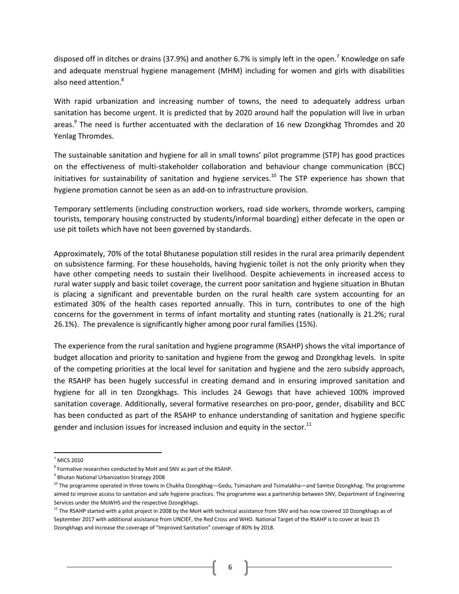disposed off in ditches or drains (37.9%) and another 6.7% is simply left in the open.<sup>7</sup> Knowledge on safe and adequate menstrual hygiene management (MHM) including for women and girls with disabilities also need attention.<sup>8</sup>

With rapid urbanization and increasing number of towns, the need to adequately address urban sanitation has become urgent. It is predicted that by 2020 around half the population will live in urban areas.<sup>9</sup> The need is further accentuated with the declaration of 16 new Dzongkhag Thromdes and 20 Yenlag Thromdes.

The sustainable sanitation and hygiene for all in small towns' pilot programme (STP) has good practices on the effectiveness of multi-stakeholder collaboration and behaviour change communication (BCC) initiatives for sustainability of sanitation and hygiene services.<sup>10</sup> The STP experience has shown that hygiene promotion cannot be seen as an add-on to infrastructure provision.

Temporary settlements (including construction workers, road side workers, thromde workers, camping tourists, temporary housing constructed by students/informal boarding) either defecate in the open or use pit toilets which have not been governed by standards.

Approximately, 70% of the total Bhutanese population still resides in the rural area primarily dependent on subsistence farming. For these households, having hygienic toilet is not the only priority when they have other competing needs to sustain their livelihood. Despite achievements in increased access to rural water supply and basic toilet coverage, the current poor sanitation and hygiene situation in Bhutan is placing a significant and preventable burden on the rural health care system accounting for an estimated 30% of the health cases reported annually. This in turn, contributes to one of the high concerns for the government in terms of infant mortality and stunting rates (nationally is 21.2%; rural 26.1%). The prevalence is significantly higher among poor rural families (15%).

The experience from the rural sanitation and hygiene programme (RSAHP) shows the vital importance of budget allocation and priority to sanitation and hygiene from the gewog and Dzongkhag levels. In spite of the competing priorities at the local level for sanitation and hygiene and the zero subsidy approach, the RSAHP has been hugely successful in creating demand and in ensuring improved sanitation and hygiene for all in ten Dzongkhags. This includes 24 Gewogs that have achieved 100% improved sanitation coverage. Additionally, several formative researches on pro-poor, gender, disability and BCC has been conducted as part of the RSAHP to enhance understanding of sanitation and hygiene specific gender and inclusion issues for increased inclusion and equity in the sector.<sup>11</sup>

 $\overline{\phantom{a}}$ 

 $<sup>7</sup>$  MICS 2010</sup>

 $8$  Formative researches conducted by MoH and SNV as part of the RSAHP.

<sup>9</sup> Bhutan National Urbanization Strategy 2008

 $10$  The programme operated in three towns in Chukha Dzongkhag—Gedu, Tsimasham and Tsimalakha—and Samtse Dzongkhag. The programme aimed to improve access to sanitation and safe hygiene practices. The programme was a partnership between SNV, Department of Engineering Services under the MoWHS and the respective Dzongkhags.

 $11$  The RSAHP started with a pilot project in 2008 by the MoH with technical assistance from SNV and has now covered 10 Dzongkhags as of September 2017 with additional assistance from UNCIEF, the Red Cross and WHO. National Target of the RSAHP is to cover at least 15 Dzongkhags and increase the coverage of "Improved Sanitation" coverage of 80% by 2018.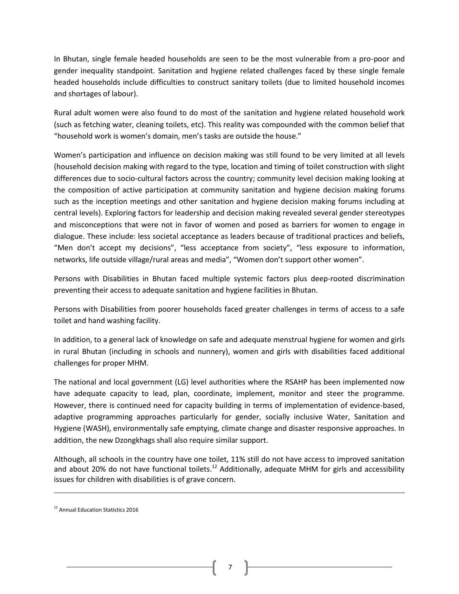In Bhutan, single female headed households are seen to be the most vulnerable from a pro-poor and gender inequality standpoint. Sanitation and hygiene related challenges faced by these single female headed households include difficulties to construct sanitary toilets (due to limited household incomes and shortages of labour).

Rural adult women were also found to do most of the sanitation and hygiene related household work (such as fetching water, cleaning toilets, etc). This reality was compounded with the common belief that "household work is women's domain, men's tasks are outside the house."

Women's participation and influence on decision making was still found to be very limited at all levels (household decision making with regard to the type, location and timing of toilet construction with slight differences due to socio-cultural factors across the country; community level decision making looking at the composition of active participation at community sanitation and hygiene decision making forums such as the inception meetings and other sanitation and hygiene decision making forums including at central levels). Exploring factors for leadership and decision making revealed several gender stereotypes and misconceptions that were not in favor of women and posed as barriers for women to engage in dialogue. These include: less societal acceptance as leaders because of traditional practices and beliefs, "Men don't accept my decisions", "less acceptance from society", "less exposure to information, networks, life outside village/rural areas and media", "Women don't support other women".

Persons with Disabilities in Bhutan faced multiple systemic factors plus deep-rooted discrimination preventing their access to adequate sanitation and hygiene facilities in Bhutan.

Persons with Disabilities from poorer households faced greater challenges in terms of access to a safe toilet and hand washing facility.

In addition, to a general lack of knowledge on safe and adequate menstrual hygiene for women and girls in rural Bhutan (including in schools and nunnery), women and girls with disabilities faced additional challenges for proper MHM.

The national and local government (LG) level authorities where the RSAHP has been implemented now have adequate capacity to lead, plan, coordinate, implement, monitor and steer the programme. However, there is continued need for capacity building in terms of implementation of evidence-based, adaptive programming approaches particularly for gender, socially inclusive Water, Sanitation and Hygiene (WASH), environmentally safe emptying, climate change and disaster responsive approaches. In addition, the new Dzongkhags shall also require similar support.

Although, all schools in the country have one toilet, 11% still do not have access to improved sanitation and about 20% do not have functional toilets.<sup>12</sup> Additionally, adequate MHM for girls and accessibility issues for children with disabilities is of grave concern.

 $\overline{a}$ 

<sup>&</sup>lt;sup>12</sup> Annual Education Statistics 2016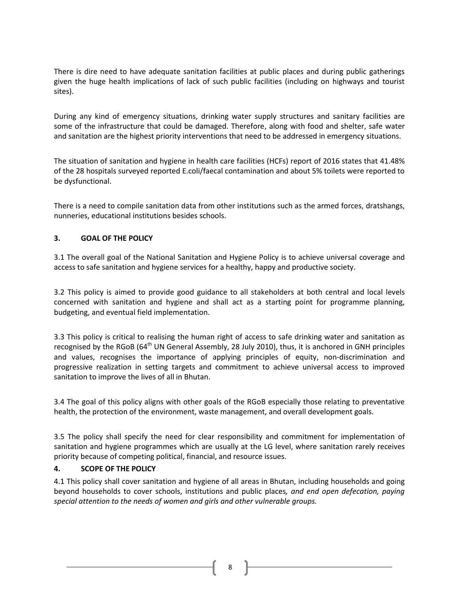There is dire need to have adequate sanitation facilities at public places and during public gatherings given the huge health implications of lack of such public facilities (including on highways and tourist sites).

During any kind of emergency situations, drinking water supply structures and sanitary facilities are some of the infrastructure that could be damaged. Therefore, along with food and shelter, safe water and sanitation are the highest priority interventions that need to be addressed in emergency situations.

The situation of sanitation and hygiene in health care facilities (HCFs) report of 2016 states that 41.48% of the 28 hospitals surveyed reported E.coli/faecal contamination and about 5% toilets were reported to be dysfunctional.

There is a need to compile sanitation data from other institutions such as the armed forces, dratshangs, nunneries, educational institutions besides schools.

# <span id="page-7-0"></span>**3. GOAL OF THE POLICY**

3.1 The overall goal of the National Sanitation and Hygiene Policy is to achieve universal coverage and access to safe sanitation and hygiene services for a healthy, happy and productive society.

3.2 This policy is aimed to provide good guidance to all stakeholders at both central and local levels concerned with sanitation and hygiene and shall act as a starting point for programme planning, budgeting, and eventual field implementation.

3.3 This policy is critical to realising the human right of access to safe drinking water and sanitation as recognised by the RGoB ( $64<sup>th</sup>$  UN General Assembly, 28 July 2010), thus, it is anchored in GNH principles and values, recognises the importance of applying principles of equity, non-discrimination and progressive realization in setting targets and commitment to achieve universal access to improved sanitation to improve the lives of all in Bhutan.

3.4 The goal of this policy aligns with other goals of the RGoB especially those relating to preventative health, the protection of the environment, waste management, and overall development goals.

3.5 The policy shall specify the need for clear responsibility and commitment for implementation of sanitation and hygiene programmes which are usually at the LG level, where sanitation rarely receives priority because of competing political, financial, and resource issues.

# <span id="page-7-1"></span>**4. SCOPE OF THE POLICY**

4.1 This policy shall cover sanitation and hygiene of all areas in Bhutan, including households and going beyond households to cover schools, institutions and public places*, and end open defecation, paying special attention to the needs of women and girls and other vulnerable groups.*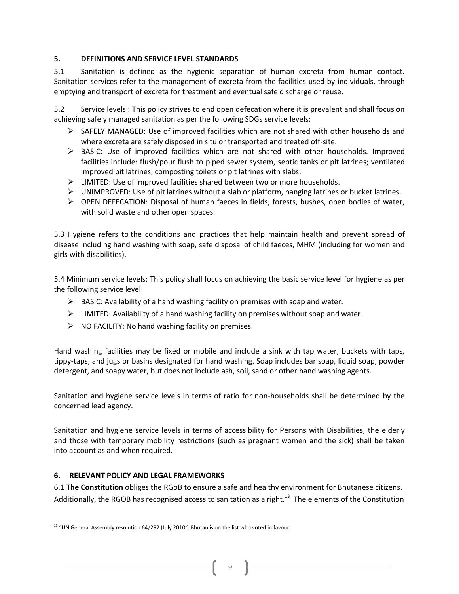# <span id="page-8-0"></span>**5. DEFINITIONS AND SERVICE LEVEL STANDARDS**

5.1 Sanitation is defined as the hygienic separation of human excreta from human contact. Sanitation services refer to the management of excreta from the facilities used by individuals, through emptying and transport of excreta for treatment and eventual safe discharge or reuse.

5.2 Service levels : This policy strives to end open defecation where it is prevalent and shall focus on achieving safely managed sanitation as per the following SDGs service levels:

- $\triangleright$  SAFELY MANAGED: Use of improved facilities which are not shared with other households and where excreta are safely disposed in situ or transported and treated off-site.
- $\triangleright$  BASIC: Use of improved facilities which are not shared with other households. Improved facilities include: flush/pour flush to piped sewer system, septic tanks or pit latrines; ventilated improved pit latrines, composting toilets or pit latrines with slabs.
- $\triangleright$  LIMITED: Use of improved facilities shared between two or more households.
- $\triangleright$  UNIMPROVED: Use of pit latrines without a slab or platform, hanging latrines or bucket latrines.
- $\triangleright$  OPEN DEFECATION: Disposal of human faeces in fields, forests, bushes, open bodies of water, with solid waste and other open spaces.

5.3 Hygiene refers to the conditions and practices that help maintain health and prevent spread of disease including hand washing with soap, safe disposal of child faeces, MHM (including for women and girls with disabilities).

5.4 Minimum service levels: This policy shall focus on achieving the basic service level for hygiene as per the following service level:

- $\triangleright$  BASIC: Availability of a hand washing facility on premises with soap and water.
- $\triangleright$  LIMITED: Availability of a hand washing facility on premises without soap and water.
- $\triangleright$  NO FACILITY: No hand washing facility on premises.

Hand washing facilities may be fixed or mobile and include a sink with tap water, buckets with taps, tippy-taps, and jugs or basins designated for hand washing. Soap includes bar soap, liquid soap, powder detergent, and soapy water, but does not include ash, soil, sand or other hand washing agents.

Sanitation and hygiene service levels in terms of ratio for non-households shall be determined by the concerned lead agency.

Sanitation and hygiene service levels in terms of accessibility for Persons with Disabilities, the elderly and those with temporary mobility restrictions (such as pregnant women and the sick) shall be taken into account as and when required.

# <span id="page-8-1"></span>**6. RELEVANT POLICY AND LEGAL FRAMEWORKS**

 $\overline{\phantom{a}}$ 

6.1 **The Constitution** obliges the RGoB to ensure a safe and healthy environment for Bhutanese citizens. Additionally, the RGOB has recognised access to sanitation as a right.<sup>13</sup> The elements of the Constitution

<sup>&</sup>lt;sup>13</sup> "UN General Assembly resolution 64/292 (July 2010". Bhutan is on the list who voted in favour.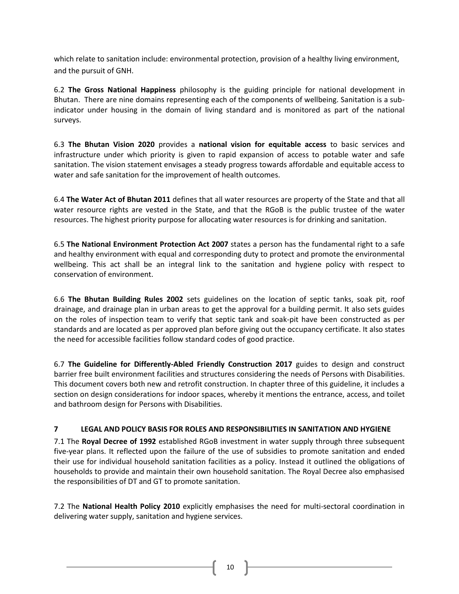which relate to sanitation include: environmental protection, provision of a healthy living environment, and the pursuit of GNH.

6.2 **The Gross National Happiness** philosophy is the guiding principle for national development in Bhutan. There are nine domains representing each of the components of wellbeing. Sanitation is a subindicator under housing in the domain of living standard and is monitored as part of the national surveys.

6.3 **The Bhutan Vision 2020** provides a **national vision for equitable access** to basic services and infrastructure under which priority is given to rapid expansion of access to potable water and safe sanitation. The vision statement envisages a steady progress towards affordable and equitable access to water and safe sanitation for the improvement of health outcomes.

6.4 **The Water Act of Bhutan 2011** defines that all water resources are property of the State and that all water resource rights are vested in the State, and that the RGoB is the public trustee of the water resources. The highest priority purpose for allocating water resources is for drinking and sanitation.

6.5 **The National Environment Protection Act 2007** states a person has the fundamental right to a safe and healthy environment with equal and corresponding duty to protect and promote the environmental wellbeing. This act shall be an integral link to the sanitation and hygiene policy with respect to conservation of environment.

6.6 **The Bhutan Building Rules 2002** sets guidelines on the location of septic tanks, soak pit, roof drainage, and drainage plan in urban areas to get the approval for a building permit. It also sets guides on the roles of inspection team to verify that septic tank and soak-pit have been constructed as per standards and are located as per approved plan before giving out the occupancy certificate. It also states the need for accessible facilities follow standard codes of good practice.

6.7 **The Guideline for Differently-Abled Friendly Construction 2017** guides to design and construct barrier free built environment facilities and structures considering the needs of Persons with Disabilities. This document covers both new and retrofit construction. In chapter three of this guideline, it includes a section on design considerations for indoor spaces, whereby it mentions the entrance, access, and toilet and bathroom design for Persons with Disabilities.

# <span id="page-9-0"></span>**7 LEGAL AND POLICY BASIS FOR ROLES AND RESPONSIBILITIES IN SANITATION AND HYGIENE**

7.1 The **Royal Decree of 1992** established RGoB investment in water supply through three subsequent five-year plans. It reflected upon the failure of the use of subsidies to promote sanitation and ended their use for individual household sanitation facilities as a policy. Instead it outlined the obligations of households to provide and maintain their own household sanitation. The Royal Decree also emphasised the responsibilities of DT and GT to promote sanitation.

7.2 The **National Health Policy 2010** explicitly emphasises the need for multi-sectoral coordination in delivering water supply, sanitation and hygiene services.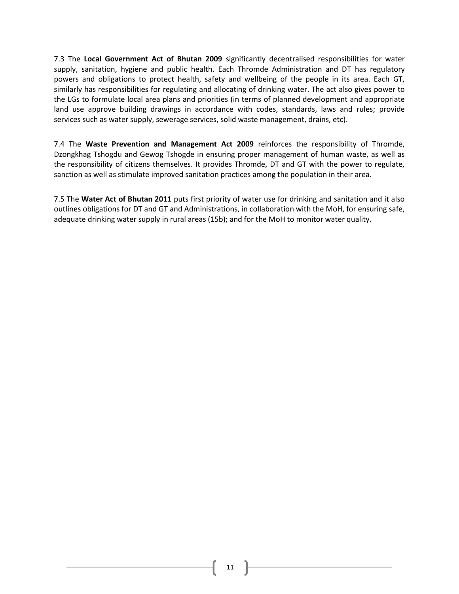7.3 The **Local Government Act of Bhutan 2009** significantly decentralised responsibilities for water supply, sanitation, hygiene and public health. Each Thromde Administration and DT has regulatory powers and obligations to protect health, safety and wellbeing of the people in its area. Each GT, similarly has responsibilities for regulating and allocating of drinking water. The act also gives power to the LGs to formulate local area plans and priorities (in terms of planned development and appropriate land use approve building drawings in accordance with codes, standards, laws and rules; provide services such as water supply, sewerage services, solid waste management, drains, etc).

7.4 The **Waste Prevention and Management Act 2009** reinforces the responsibility of Thromde, Dzongkhag Tshogdu and Gewog Tshogde in ensuring proper management of human waste, as well as the responsibility of citizens themselves. It provides Thromde, DT and GT with the power to regulate, sanction as well as stimulate improved sanitation practices among the population in their area.

7.5 The **Water Act of Bhutan 2011** puts first priority of water use for drinking and sanitation and it also outlines obligations for DT and GT and Administrations, in collaboration with the MoH, for ensuring safe, adequate drinking water supply in rural areas (15b); and for the MoH to monitor water quality.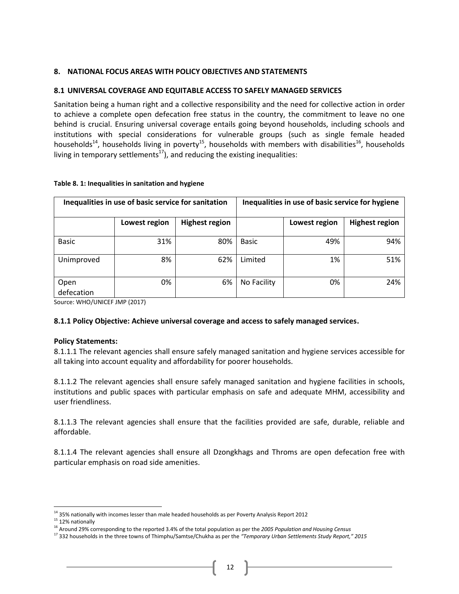# <span id="page-11-0"></span>**8. NATIONAL FOCUS AREAS WITH POLICY OBJECTIVES AND STATEMENTS**

# <span id="page-11-1"></span>**8.1 UNIVERSAL COVERAGE AND EQUITABLE ACCESS TO SAFELY MANAGED SERVICES**

Sanitation being a human right and a collective responsibility and the need for collective action in order to achieve a complete open defecation free status in the country, the commitment to leave no one behind is crucial. Ensuring universal coverage entails going beyond households, including schools and institutions with special considerations for vulnerable groups (such as single female headed households<sup>14</sup>, households living in poverty<sup>15</sup>, households with members with disabilities<sup>16</sup>, households living in temporary settlements $^{17}$ ), and reducing the existing inequalities:

| Inequalities in use of basic service for sanitation |               |                       | Inequalities in use of basic service for hygiene |               |                       |  |
|-----------------------------------------------------|---------------|-----------------------|--------------------------------------------------|---------------|-----------------------|--|
|                                                     | Lowest region | <b>Highest region</b> |                                                  | Lowest region | <b>Highest region</b> |  |
| <b>Basic</b>                                        | 31%           | 80%                   | <b>Basic</b>                                     | 49%           | 94%                   |  |
| Unimproved                                          | 8%            | 62%                   | Limited                                          | 1%            | 51%                   |  |
| Open<br>defecation                                  | 0%            | 6%                    | No Facility                                      | 0%            | 24%                   |  |

#### **Table 8. 1: Inequalities in sanitation and hygiene**

Source: WHO/UNICEF JMP (2017)

# **8.1.1 Policy Objective: Achieve universal coverage and access to safely managed services.**

#### **Policy Statements:**

8.1.1.1 The relevant agencies shall ensure safely managed sanitation and hygiene services accessible for all taking into account equality and affordability for poorer households.

8.1.1.2 The relevant agencies shall ensure safely managed sanitation and hygiene facilities in schools, institutions and public spaces with particular emphasis on safe and adequate MHM, accessibility and user friendliness.

8.1.1.3 The relevant agencies shall ensure that the facilities provided are safe, durable, reliable and affordable.

8.1.1.4 The relevant agencies shall ensure all Dzongkhags and Throms are open defecation free with particular emphasis on road side amenities.

l

 $14$  35% nationally with incomes lesser than male headed households as per Poverty Analysis Report 2012

<sup>&</sup>lt;sup>15</sup> 12% nationally

<sup>16</sup> Around 29% corresponding to the reported 3.4% of the total population as per the *2005 Population and Housing Census*

<sup>17</sup> 332 households in the three towns of Thimphu/Samtse/Chukha as per the *"Temporary Urban Settlements Study Report," 2015*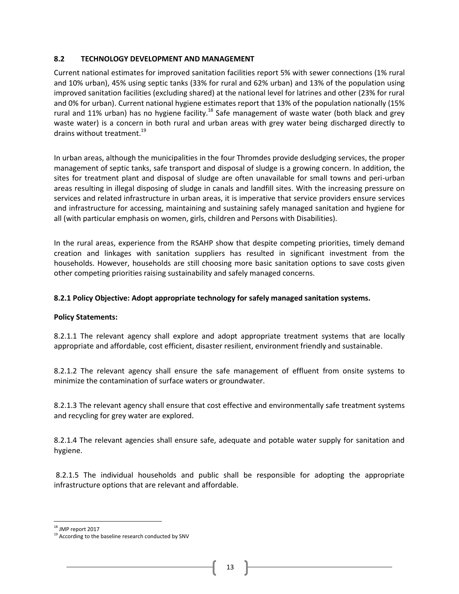# <span id="page-12-0"></span>**8.2 TECHNOLOGY DEVELOPMENT AND MANAGEMENT**

Current national estimates for improved sanitation facilities report 5% with sewer connections (1% rural and 10% urban), 45% using septic tanks (33% for rural and 62% urban) and 13% of the population using improved sanitation facilities (excluding shared) at the national level for latrines and other (23% for rural and 0% for urban). Current national hygiene estimates report that 13% of the population nationally (15% rural and 11% urban) has no hygiene facility.<sup>18</sup> Safe management of waste water (both black and grey waste water) is a concern in both rural and urban areas with grey water being discharged directly to drains without treatment.<sup>19</sup>

In urban areas, although the municipalities in the four Thromdes provide desludging services, the proper management of septic tanks, safe transport and disposal of sludge is a growing concern. In addition, the sites for treatment plant and disposal of sludge are often unavailable for small towns and peri-urban areas resulting in illegal disposing of sludge in canals and landfill sites. With the increasing pressure on services and related infrastructure in urban areas, it is imperative that service providers ensure services and infrastructure for accessing, maintaining and sustaining safely managed sanitation and hygiene for all (with particular emphasis on women, girls, children and Persons with Disabilities).

In the rural areas, experience from the RSAHP show that despite competing priorities, timely demand creation and linkages with sanitation suppliers has resulted in significant investment from the households. However, households are still choosing more basic sanitation options to save costs given other competing priorities raising sustainability and safely managed concerns.

# **8.2.1 Policy Objective: Adopt appropriate technology for safely managed sanitation systems.**

# **Policy Statements:**

8.2.1.1 The relevant agency shall explore and adopt appropriate treatment systems that are locally appropriate and affordable, cost efficient, disaster resilient, environment friendly and sustainable.

8.2.1.2 The relevant agency shall ensure the safe management of effluent from onsite systems to minimize the contamination of surface waters or groundwater.

8.2.1.3 The relevant agency shall ensure that cost effective and environmentally safe treatment systems and recycling for grey water are explored.

8.2.1.4 The relevant agencies shall ensure safe, adequate and potable water supply for sanitation and hygiene.

8.2.1.5 The individual households and public shall be responsible for adopting the appropriate infrastructure options that are relevant and affordable.

 $\overline{a}$ 

<sup>&</sup>lt;sup>18</sup> JMP report 2017

<sup>&</sup>lt;sup>19</sup> According to the baseline research conducted by SNV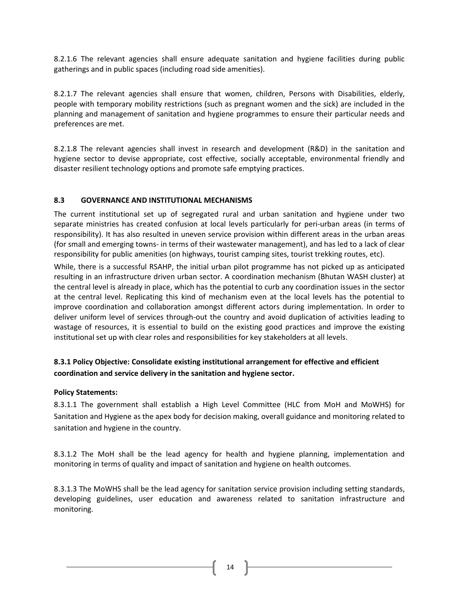8.2.1.6 The relevant agencies shall ensure adequate sanitation and hygiene facilities during public gatherings and in public spaces (including road side amenities).

8.2.1.7 The relevant agencies shall ensure that women, children, Persons with Disabilities, elderly, people with temporary mobility restrictions (such as pregnant women and the sick) are included in the planning and management of sanitation and hygiene programmes to ensure their particular needs and preferences are met.

8.2.1.8 The relevant agencies shall invest in research and development (R&D) in the sanitation and hygiene sector to devise appropriate, cost effective, socially acceptable, environmental friendly and disaster resilient technology options and promote safe emptying practices.

# <span id="page-13-0"></span>**8.3 GOVERNANCE AND INSTITUTIONAL MECHANISMS**

The current institutional set up of segregated rural and urban sanitation and hygiene under two separate ministries has created confusion at local levels particularly for peri-urban areas (in terms of responsibility). It has also resulted in uneven service provision within different areas in the urban areas (for small and emerging towns- in terms of their wastewater management), and has led to a lack of clear responsibility for public amenities (on highways, tourist camping sites, tourist trekking routes, etc).

While, there is a successful RSAHP, the initial urban pilot programme has not picked up as anticipated resulting in an infrastructure driven urban sector. A coordination mechanism (Bhutan WASH cluster) at the central level is already in place, which has the potential to curb any coordination issues in the sector at the central level. Replicating this kind of mechanism even at the local levels has the potential to improve coordination and collaboration amongst different actors during implementation. In order to deliver uniform level of services through-out the country and avoid duplication of activities leading to wastage of resources, it is essential to build on the existing good practices and improve the existing institutional set up with clear roles and responsibilities for key stakeholders at all levels.

# **8.3.1 Policy Objective: Consolidate existing institutional arrangement for effective and efficient coordination and service delivery in the sanitation and hygiene sector.**

# **Policy Statements:**

8.3.1.1 The government shall establish a High Level Committee (HLC from MoH and MoWHS) for Sanitation and Hygiene as the apex body for decision making, overall guidance and monitoring related to sanitation and hygiene in the country.

8.3.1.2 The MoH shall be the lead agency for health and hygiene planning, implementation and monitoring in terms of quality and impact of sanitation and hygiene on health outcomes.

8.3.1.3 The MoWHS shall be the lead agency for sanitation service provision including setting standards, developing guidelines, user education and awareness related to sanitation infrastructure and monitoring.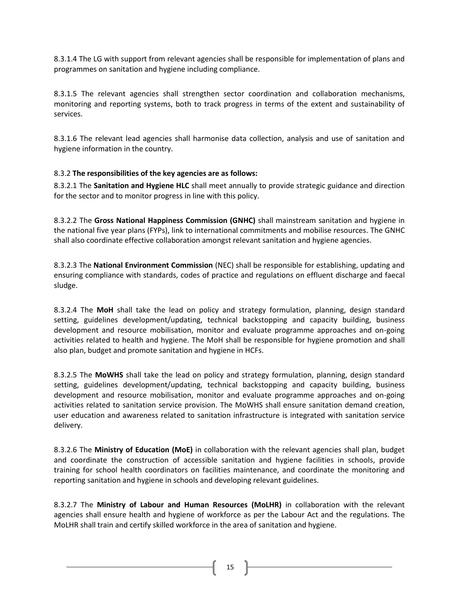8.3.1.4 The LG with support from relevant agencies shall be responsible for implementation of plans and programmes on sanitation and hygiene including compliance.

8.3.1.5 The relevant agencies shall strengthen sector coordination and collaboration mechanisms, monitoring and reporting systems, both to track progress in terms of the extent and sustainability of services.

8.3.1.6 The relevant lead agencies shall harmonise data collection, analysis and use of sanitation and hygiene information in the country.

# 8.3.2 **The responsibilities of the key agencies are as follows:**

8.3.2.1 The **Sanitation and Hygiene HLC** shall meet annually to provide strategic guidance and direction for the sector and to monitor progress in line with this policy.

8.3.2.2 The **Gross National Happiness Commission (GNHC)** shall mainstream sanitation and hygiene in the national five year plans (FYPs), link to international commitments and mobilise resources. The GNHC shall also coordinate effective collaboration amongst relevant sanitation and hygiene agencies.

8.3.2.3 The **National Environment Commission** (NEC) shall be responsible for establishing, updating and ensuring compliance with standards, codes of practice and regulations on effluent discharge and faecal sludge.

8.3.2.4 The **MoH** shall take the lead on policy and strategy formulation, planning, design standard setting, guidelines development/updating, technical backstopping and capacity building, business development and resource mobilisation, monitor and evaluate programme approaches and on-going activities related to health and hygiene. The MoH shall be responsible for hygiene promotion and shall also plan, budget and promote sanitation and hygiene in HCFs.

8.3.2.5 The **MoWHS** shall take the lead on policy and strategy formulation, planning, design standard setting, guidelines development/updating, technical backstopping and capacity building, business development and resource mobilisation, monitor and evaluate programme approaches and on-going activities related to sanitation service provision. The MoWHS shall ensure sanitation demand creation, user education and awareness related to sanitation infrastructure is integrated with sanitation service delivery.

8.3.2.6 The **Ministry of Education (MoE)** in collaboration with the relevant agencies shall plan, budget and coordinate the construction of accessible sanitation and hygiene facilities in schools, provide training for school health coordinators on facilities maintenance, and coordinate the monitoring and reporting sanitation and hygiene in schools and developing relevant guidelines.

8.3.2.7 The **Ministry of Labour and Human Resources (MoLHR)** in collaboration with the relevant agencies shall ensure health and hygiene of workforce as per the Labour Act and the regulations. The MoLHR shall train and certify skilled workforce in the area of sanitation and hygiene.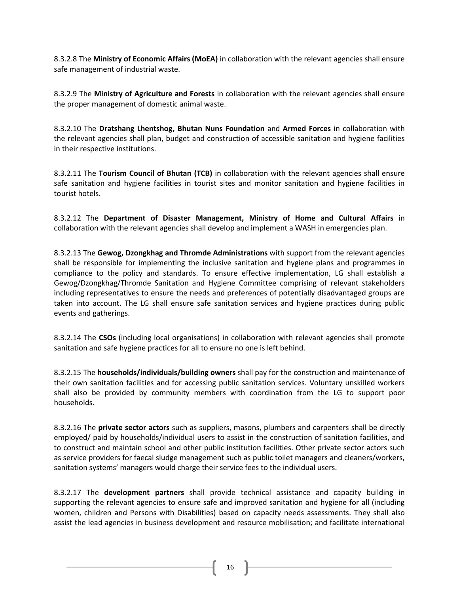8.3.2.8 The **Ministry of Economic Affairs (MoEA)** in collaboration with the relevant agencies shall ensure safe management of industrial waste.

8.3.2.9 The **Ministry of Agriculture and Forests** in collaboration with the relevant agencies shall ensure the proper management of domestic animal waste.

8.3.2.10 The **Dratshang Lhentshog, Bhutan Nuns Foundation** and **Armed Forces** in collaboration with the relevant agencies shall plan, budget and construction of accessible sanitation and hygiene facilities in their respective institutions.

8.3.2.11 The **Tourism Council of Bhutan (TCB)** in collaboration with the relevant agencies shall ensure safe sanitation and hygiene facilities in tourist sites and monitor sanitation and hygiene facilities in tourist hotels.

8.3.2.12 The **Department of Disaster Management, Ministry of Home and Cultural Affairs** in collaboration with the relevant agencies shall develop and implement a WASH in emergencies plan.

8.3.2.13 The **Gewog, Dzongkhag and Thromde Administrations** with support from the relevant agencies shall be responsible for implementing the inclusive sanitation and hygiene plans and programmes in compliance to the policy and standards. To ensure effective implementation, LG shall establish a Gewog/Dzongkhag/Thromde Sanitation and Hygiene Committee comprising of relevant stakeholders including representatives to ensure the needs and preferences of potentially disadvantaged groups are taken into account. The LG shall ensure safe sanitation services and hygiene practices during public events and gatherings.

8.3.2.14 The **CSOs** (including local organisations) in collaboration with relevant agencies shall promote sanitation and safe hygiene practices for all to ensure no one is left behind.

8.3.2.15 The **households/individuals/building owners** shall pay for the construction and maintenance of their own sanitation facilities and for accessing public sanitation services. Voluntary unskilled workers shall also be provided by community members with coordination from the LG to support poor households.

8.3.2.16 The **private sector actors** such as suppliers, masons, plumbers and carpenters shall be directly employed/ paid by households/individual users to assist in the construction of sanitation facilities, and to construct and maintain school and other public institution facilities. Other private sector actors such as service providers for faecal sludge management such as public toilet managers and cleaners/workers, sanitation systems' managers would charge their service fees to the individual users.

8.3.2.17 The **development partners** shall provide technical assistance and capacity building in supporting the relevant agencies to ensure safe and improved sanitation and hygiene for all (including women, children and Persons with Disabilities) based on capacity needs assessments. They shall also assist the lead agencies in business development and resource mobilisation; and facilitate international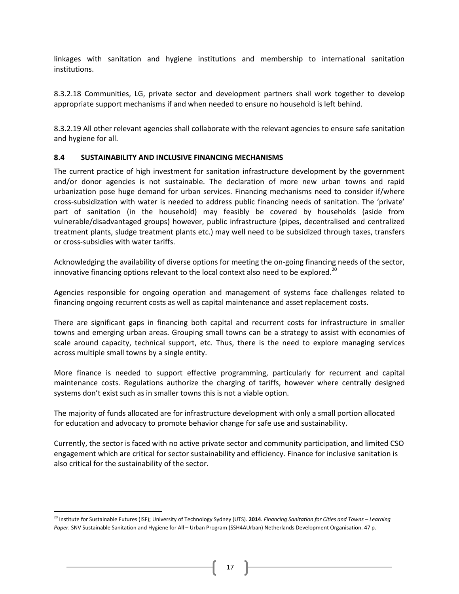linkages with sanitation and hygiene institutions and membership to international sanitation institutions.

8.3.2.18 Communities, LG, private sector and development partners shall work together to develop appropriate support mechanisms if and when needed to ensure no household is left behind.

8.3.2.19 All other relevant agencies shall collaborate with the relevant agencies to ensure safe sanitation and hygiene for all.

# <span id="page-16-0"></span>**8.4 SUSTAINABILITY AND INCLUSIVE FINANCING MECHANISMS**

The current practice of high investment for sanitation infrastructure development by the government and/or donor agencies is not sustainable. The declaration of more new urban towns and rapid urbanization pose huge demand for urban services. Financing mechanisms need to consider if/where cross-subsidization with water is needed to address public financing needs of sanitation. The 'private' part of sanitation (in the household) may feasibly be covered by households (aside from vulnerable/disadvantaged groups) however, public infrastructure (pipes, decentralised and centralized treatment plants, sludge treatment plants etc.) may well need to be subsidized through taxes, transfers or cross-subsidies with water tariffs.

Acknowledging the availability of diverse options for meeting the on-going financing needs of the sector, innovative financing options relevant to the local context also need to be explored.<sup>20</sup>

Agencies responsible for ongoing operation and management of systems face challenges related to financing ongoing recurrent costs as well as capital maintenance and asset replacement costs.

There are significant gaps in financing both capital and recurrent costs for infrastructure in smaller towns and emerging urban areas. Grouping small towns can be a strategy to assist with economies of scale around capacity, technical support, etc. Thus, there is the need to explore managing services across multiple small towns by a single entity.

More finance is needed to support effective programming, particularly for recurrent and capital maintenance costs. Regulations authorize the charging of tariffs, however where centrally designed systems don't exist such as in smaller towns this is not a viable option.

The majority of funds allocated are for infrastructure development with only a small portion allocated for education and advocacy to promote behavior change for safe use and sustainability.

Currently, the sector is faced with no active private sector and community participation, and limited CSO engagement which are critical for sector sustainability and efficiency. Finance for inclusive sanitation is also critical for the sustainability of the sector.

 $\overline{\phantom{a}}$ 

<sup>20</sup> Institute for Sustainable Futures (ISF); University of Technology Sydney (UTS). **2014**. *Financing Sanitation for Cities and Towns – Learning Paper*. SNV Sustainable Sanitation and Hygiene for All – Urban Program (SSH4AUrban) Netherlands Development Organisation. 47 p.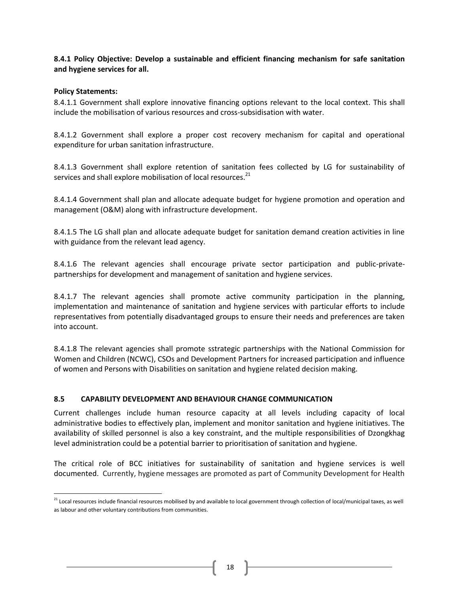**8.4.1 Policy Objective: Develop a sustainable and efficient financing mechanism for safe sanitation and hygiene services for all.**

# **Policy Statements:**

 $\overline{\phantom{a}}$ 

8.4.1.1 Government shall explore innovative financing options relevant to the local context. This shall include the mobilisation of various resources and cross-subsidisation with water.

8.4.1.2 Government shall explore a proper cost recovery mechanism for capital and operational expenditure for urban sanitation infrastructure.

8.4.1.3 Government shall explore retention of sanitation fees collected by LG for sustainability of services and shall explore mobilisation of local resources.<sup>21</sup>

8.4.1.4 Government shall plan and allocate adequate budget for hygiene promotion and operation and management (O&M) along with infrastructure development.

8.4.1.5 The LG shall plan and allocate adequate budget for sanitation demand creation activities in line with guidance from the relevant lead agency.

8.4.1.6 The relevant agencies shall encourage private sector participation and public-privatepartnerships for development and management of sanitation and hygiene services.

8.4.1.7 The relevant agencies shall promote active community participation in the planning, implementation and maintenance of sanitation and hygiene services with particular efforts to include representatives from potentially disadvantaged groups to ensure their needs and preferences are taken into account.

8.4.1.8 The relevant agencies shall promote sstrategic partnerships with the National Commission for Women and Children (NCWC), CSOs and Development Partners for increased participation and influence of women and Persons with Disabilities on sanitation and hygiene related decision making.

# <span id="page-17-0"></span>**8.5 CAPABILITY DEVELOPMENT AND BEHAVIOUR CHANGE COMMUNICATION**

Current challenges include human resource capacity at all levels including capacity of local administrative bodies to effectively plan, implement and monitor sanitation and hygiene initiatives. The availability of skilled personnel is also a key constraint, and the multiple responsibilities of Dzongkhag level administration could be a potential barrier to prioritisation of sanitation and hygiene.

The critical role of BCC initiatives for sustainability of sanitation and hygiene services is well documented. Currently, hygiene messages are promoted as part of Community Development for Health

<sup>&</sup>lt;sup>21</sup> Local resources include financial resources mobilised by and available to local government through collection of local/municipal taxes, as well as labour and other voluntary contributions from communities.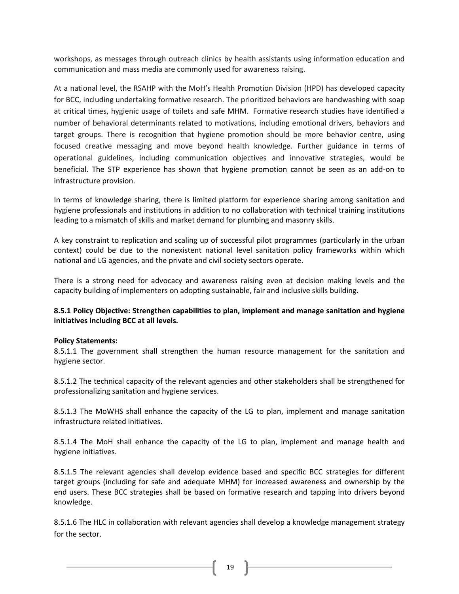workshops, as messages through outreach clinics by health assistants using information education and communication and mass media are commonly used for awareness raising.

At a national level, the RSAHP with the MoH's Health Promotion Division (HPD) has developed capacity for BCC, including undertaking formative research. The prioritized behaviors are handwashing with soap at critical times, hygienic usage of toilets and safe MHM. Formative research studies have identified a number of behavioral determinants related to motivations, including emotional drivers, behaviors and target groups. There is recognition that hygiene promotion should be more behavior centre, using focused creative messaging and move beyond health knowledge. Further guidance in terms of operational guidelines, including communication objectives and innovative strategies, would be beneficial. The STP experience has shown that hygiene promotion cannot be seen as an add-on to infrastructure provision.

In terms of knowledge sharing, there is limited platform for experience sharing among sanitation and hygiene professionals and institutions in addition to no collaboration with technical training institutions leading to a mismatch of skills and market demand for plumbing and masonry skills.

A key constraint to replication and scaling up of successful pilot programmes (particularly in the urban context) could be due to the nonexistent national level sanitation policy frameworks within which national and LG agencies, and the private and civil society sectors operate.

There is a strong need for advocacy and awareness raising even at decision making levels and the capacity building of implementers on adopting sustainable, fair and inclusive skills building.

# **8.5.1 Policy Objective: Strengthen capabilities to plan, implement and manage sanitation and hygiene initiatives including BCC at all levels.**

# **Policy Statements:**

8.5.1.1 The government shall strengthen the human resource management for the sanitation and hygiene sector.

8.5.1.2 The technical capacity of the relevant agencies and other stakeholders shall be strengthened for professionalizing sanitation and hygiene services.

8.5.1.3 The MoWHS shall enhance the capacity of the LG to plan, implement and manage sanitation infrastructure related initiatives.

8.5.1.4 The MoH shall enhance the capacity of the LG to plan, implement and manage health and hygiene initiatives.

8.5.1.5 The relevant agencies shall develop evidence based and specific BCC strategies for different target groups (including for safe and adequate MHM) for increased awareness and ownership by the end users. These BCC strategies shall be based on formative research and tapping into drivers beyond knowledge.

8.5.1.6 The HLC in collaboration with relevant agencies shall develop a knowledge management strategy for the sector.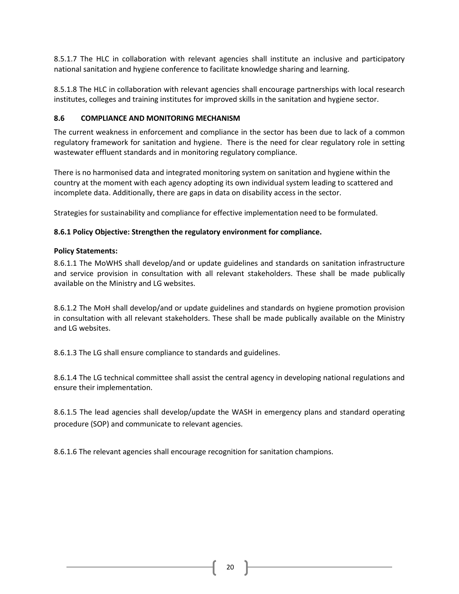8.5.1.7 The HLC in collaboration with relevant agencies shall institute an inclusive and participatory national sanitation and hygiene conference to facilitate knowledge sharing and learning.

8.5.1.8 The HLC in collaboration with relevant agencies shall encourage partnerships with local research institutes, colleges and training institutes for improved skills in the sanitation and hygiene sector.

# <span id="page-19-0"></span>**8.6 COMPLIANCE AND MONITORING MECHANISM**

The current weakness in enforcement and compliance in the sector has been due to lack of a common regulatory framework for sanitation and hygiene. There is the need for clear regulatory role in setting wastewater effluent standards and in monitoring regulatory compliance.

There is no harmonised data and integrated monitoring system on sanitation and hygiene within the country at the moment with each agency adopting its own individual system leading to scattered and incomplete data. Additionally, there are gaps in data on disability access in the sector.

Strategies for sustainability and compliance for effective implementation need to be formulated.

# **8.6.1 Policy Objective: Strengthen the regulatory environment for compliance.**

# **Policy Statements:**

8.6.1.1 The MoWHS shall develop/and or update guidelines and standards on sanitation infrastructure and service provision in consultation with all relevant stakeholders. These shall be made publically available on the Ministry and LG websites.

8.6.1.2 The MoH shall develop/and or update guidelines and standards on hygiene promotion provision in consultation with all relevant stakeholders. These shall be made publically available on the Ministry and LG websites.

8.6.1.3 The LG shall ensure compliance to standards and guidelines.

8.6.1.4 The LG technical committee shall assist the central agency in developing national regulations and ensure their implementation.

8.6.1.5 The lead agencies shall develop/update the WASH in emergency plans and standard operating procedure (SOP) and communicate to relevant agencies.

8.6.1.6 The relevant agencies shall encourage recognition for sanitation champions.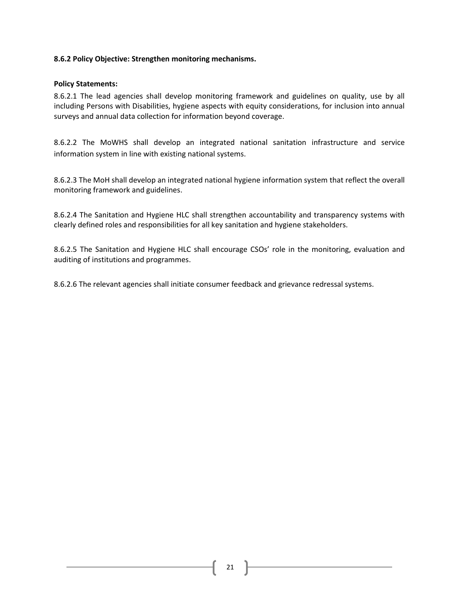# **8.6.2 Policy Objective: Strengthen monitoring mechanisms.**

# **Policy Statements:**

8.6.2.1 The lead agencies shall develop monitoring framework and guidelines on quality, use by all including Persons with Disabilities, hygiene aspects with equity considerations, for inclusion into annual surveys and annual data collection for information beyond coverage.

8.6.2.2 The MoWHS shall develop an integrated national sanitation infrastructure and service information system in line with existing national systems.

8.6.2.3 The MoH shall develop an integrated national hygiene information system that reflect the overall monitoring framework and guidelines.

8.6.2.4 The Sanitation and Hygiene HLC shall strengthen accountability and transparency systems with clearly defined roles and responsibilities for all key sanitation and hygiene stakeholders.

8.6.2.5 The Sanitation and Hygiene HLC shall encourage CSOs' role in the monitoring, evaluation and auditing of institutions and programmes.

8.6.2.6 The relevant agencies shall initiate consumer feedback and grievance redressal systems.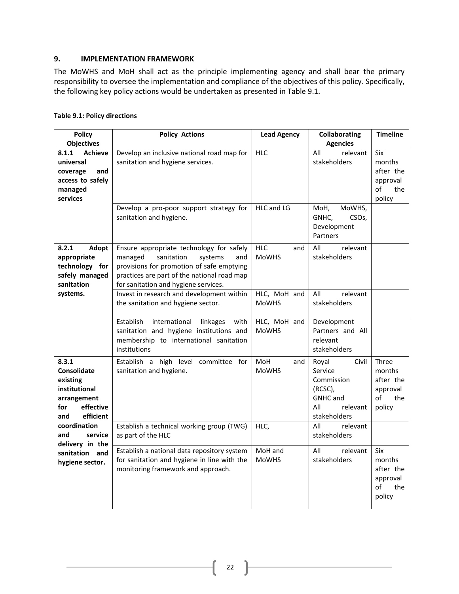# <span id="page-21-0"></span>**9. IMPLEMENTATION FRAMEWORK**

The MoWHS and MoH shall act as the principle implementing agency and shall bear the primary responsibility to oversee the implementation and compliance of the objectives of this policy. Specifically, the following key policy actions would be undertaken as presented i[n Table 9.1.](#page-21-1)

<span id="page-21-1"></span>

| <b>Policy</b><br><b>Objectives</b>                                                                       | <b>Policy Actions</b>                                                                                                                                                                                                   | <b>Lead Agency</b>                | <b>Collaborating</b><br><b>Agencies</b>                                                                  | <b>Timeline</b>                                                 |
|----------------------------------------------------------------------------------------------------------|-------------------------------------------------------------------------------------------------------------------------------------------------------------------------------------------------------------------------|-----------------------------------|----------------------------------------------------------------------------------------------------------|-----------------------------------------------------------------|
| <b>Achieve</b><br>8.1.1<br>universal<br>coverage<br>and<br>access to safely<br>managed<br>services       | Develop an inclusive national road map for<br>sanitation and hygiene services.                                                                                                                                          | <b>HLC</b>                        | All<br>relevant<br>stakeholders                                                                          | Six<br>months<br>after the<br>approval<br>of<br>the<br>policy   |
|                                                                                                          | Develop a pro-poor support strategy for<br>sanitation and hygiene.                                                                                                                                                      | HLC and LG                        | MoWHS,<br>MoH,<br>GNHC,<br>CSO <sub>s</sub> ,<br>Development<br>Partners                                 |                                                                 |
| 8.2.1<br>Adopt<br>appropriate<br>technology for<br>safely managed<br>sanitation                          | Ensure appropriate technology for safely<br>sanitation<br>managed<br>systems<br>and<br>provisions for promotion of safe emptying<br>practices are part of the national road map<br>for sanitation and hygiene services. | <b>HLC</b><br>and<br><b>MoWHS</b> | All<br>relevant<br>stakeholders                                                                          |                                                                 |
| systems.                                                                                                 | Invest in research and development within<br>the sanitation and hygiene sector.                                                                                                                                         | HLC, MoH and<br><b>MoWHS</b>      | All<br>relevant<br>stakeholders                                                                          |                                                                 |
|                                                                                                          | Establish<br>international<br>with<br>linkages<br>sanitation and hygiene institutions and<br>membership to international sanitation<br>institutions                                                                     | HLC, MoH and<br><b>MoWHS</b>      | Development<br>Partners and All<br>relevant<br>stakeholders                                              |                                                                 |
| 8.3.1<br>Consolidate<br>existing<br>institutional<br>arrangement<br>effective<br>for<br>efficient<br>and | Establish a high level committee for<br>sanitation and hygiene.                                                                                                                                                         | MoH<br>and<br><b>MoWHS</b>        | Royal<br>Civil<br>Service<br>Commission<br>(RCSC),<br><b>GNHC</b> and<br>All<br>relevant<br>stakeholders | Three<br>months<br>after the<br>approval<br>of<br>the<br>policy |
| coordination<br>service<br>and<br>delivery in the                                                        | Establish a technical working group (TWG)<br>as part of the HLC                                                                                                                                                         | HLC,                              | All<br>relevant<br>stakeholders                                                                          |                                                                 |
| sanitation and<br>hygiene sector.                                                                        | Establish a national data repository system<br>for sanitation and hygiene in line with the<br>monitoring framework and approach.                                                                                        | MoH and<br><b>MoWHS</b>           | relevant<br>All<br>stakeholders                                                                          | Six<br>months<br>after the<br>approval<br>of<br>the<br>policy   |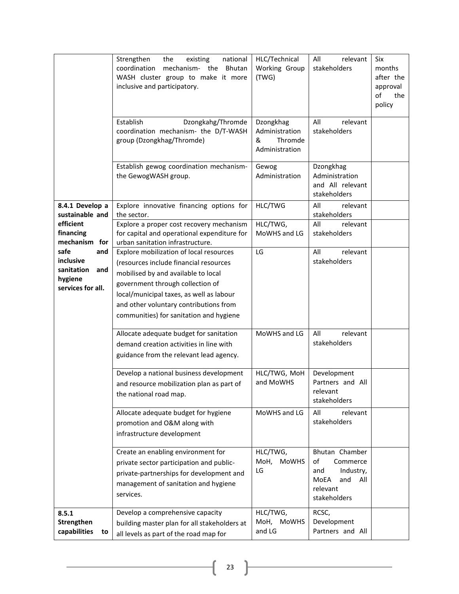|                                                                               | national<br>Strengthen<br>the<br>existing<br>coordination<br>mechanism- the<br>Bhutan<br>WASH cluster group to make it more<br>inclusive and participatory.                                                                                                                                   | HLC/Technical<br>Working Group<br>(TWG)                       | All<br>relevant<br>stakeholders                                                                        | Six<br>months<br>after the<br>approval<br>of<br>the<br>policy |
|-------------------------------------------------------------------------------|-----------------------------------------------------------------------------------------------------------------------------------------------------------------------------------------------------------------------------------------------------------------------------------------------|---------------------------------------------------------------|--------------------------------------------------------------------------------------------------------|---------------------------------------------------------------|
|                                                                               | Establish<br>Dzongkahg/Thromde<br>coordination mechanism- the D/T-WASH<br>group (Dzongkhag/Thromde)                                                                                                                                                                                           | Dzongkhag<br>Administration<br>&<br>Thromde<br>Administration | All<br>relevant<br>stakeholders                                                                        |                                                               |
|                                                                               | Establish gewog coordination mechanism-<br>the GewogWASH group.                                                                                                                                                                                                                               | Gewog<br>Administration                                       | Dzongkhag<br>Administration<br>and All relevant<br>stakeholders                                        |                                                               |
| 8.4.1 Develop a<br>sustainable and                                            | Explore innovative financing options for<br>the sector.                                                                                                                                                                                                                                       | HLC/TWG                                                       | All<br>relevant<br>stakeholders                                                                        |                                                               |
| efficient<br>financing<br>mechanism for                                       | Explore a proper cost recovery mechanism<br>for capital and operational expenditure for<br>urban sanitation infrastructure.                                                                                                                                                                   | HLC/TWG,<br>MoWHS and LG                                      | All<br>relevant<br>stakeholders                                                                        |                                                               |
| safe<br>and<br>inclusive<br>sanitation<br>and<br>hygiene<br>services for all. | Explore mobilization of local resources<br>(resources include financial resources<br>mobilised by and available to local<br>government through collection of<br>local/municipal taxes, as well as labour<br>and other voluntary contributions from<br>communities) for sanitation and hygiene | LG                                                            | relevant<br>All<br>stakeholders                                                                        |                                                               |
|                                                                               | Allocate adequate budget for sanitation<br>demand creation activities in line with<br>guidance from the relevant lead agency.                                                                                                                                                                 | MoWHS and LG                                                  | All<br>relevant<br>stakeholders                                                                        |                                                               |
|                                                                               | Develop a national business development<br>and resource mobilization plan as part of<br>the national road map.                                                                                                                                                                                | HLC/TWG, MoH<br>and MoWHS                                     | Development<br>Partners and All<br>relevant<br>stakeholders                                            |                                                               |
|                                                                               | Allocate adequate budget for hygiene<br>promotion and O&M along with<br>infrastructure development                                                                                                                                                                                            | MoWHS and LG                                                  | All<br>relevant<br>stakeholders                                                                        |                                                               |
|                                                                               | Create an enabling environment for<br>private sector participation and public-<br>private-partnerships for development and<br>management of sanitation and hygiene<br>services.                                                                                                               | HLC/TWG,<br>MoH,<br><b>MoWHS</b><br>LG                        | Bhutan Chamber<br>of<br>Commerce<br>and<br>Industry,<br>MoEA<br>and<br>All<br>relevant<br>stakeholders |                                                               |
| 8.5.1<br>Strengthen<br>capabilities<br>to                                     | Develop a comprehensive capacity<br>building master plan for all stakeholders at<br>all levels as part of the road map for                                                                                                                                                                    | HLC/TWG,<br>MoH, MoWHS<br>and LG                              | RCSC,<br>Development<br>Partners and All                                                               |                                                               |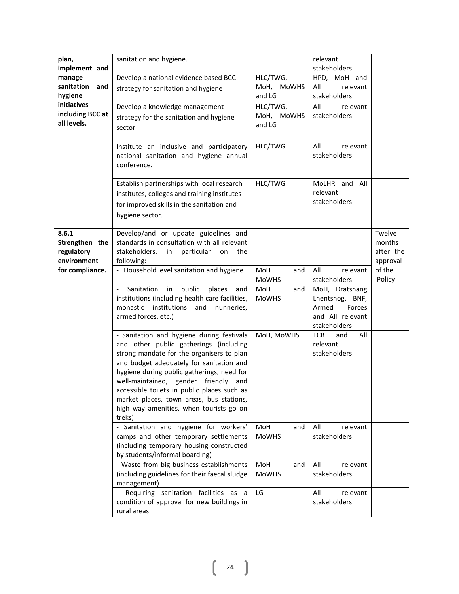| plan,                           | sanitation and hygiene.                                                             |                     | relevant                                 |           |
|---------------------------------|-------------------------------------------------------------------------------------|---------------------|------------------------------------------|-----------|
| implement and                   |                                                                                     |                     | stakeholders                             |           |
| manage                          | Develop a national evidence based BCC                                               | HLC/TWG,            | HPD, MoH and                             |           |
| sanitation<br>and               | strategy for sanitation and hygiene                                                 | MoH, MoWHS          | All<br>relevant                          |           |
| hygiene                         |                                                                                     | and LG              | stakeholders                             |           |
| initiatives                     | Develop a knowledge management                                                      | HLC/TWG,            | All<br>relevant                          |           |
| including BCC at<br>all levels. | strategy for the sanitation and hygiene                                             | MoH, MoWHS          | stakeholders                             |           |
|                                 | sector                                                                              | and LG              |                                          |           |
|                                 |                                                                                     |                     |                                          |           |
|                                 | Institute an inclusive and participatory                                            | HLC/TWG             | All<br>relevant                          |           |
|                                 | national sanitation and hygiene annual                                              |                     | stakeholders                             |           |
|                                 | conference.                                                                         |                     |                                          |           |
|                                 | Establish partnerships with local research                                          | HLC/TWG             | MoLHR and All                            |           |
|                                 |                                                                                     |                     | relevant                                 |           |
|                                 | institutes, colleges and training institutes                                        |                     | stakeholders                             |           |
|                                 | for improved skills in the sanitation and                                           |                     |                                          |           |
|                                 | hygiene sector.                                                                     |                     |                                          |           |
| 8.6.1                           | Develop/and or update guidelines and                                                |                     |                                          | Twelve    |
| Strengthen the                  | standards in consultation with all relevant                                         |                     |                                          | months    |
| regulatory                      | stakeholders,<br>in<br>particular<br>the<br>on                                      |                     |                                          | after the |
| environment                     | following:                                                                          |                     |                                          | approval  |
| for compliance.                 | - Household level sanitation and hygiene                                            | MoH<br>and          | All<br>relevant                          | of the    |
|                                 |                                                                                     | <b>MoWHS</b>        | stakeholders                             | Policy    |
|                                 | Sanitation<br>in<br>public<br>places<br>and                                         | MoH<br>and          | MoH, Dratshang                           |           |
|                                 | institutions (including health care facilities,                                     | <b>MoWHS</b>        | Lhentshog, BNF,                          |           |
|                                 | monastic institutions<br>and<br>nunneries,                                          |                     | Armed<br>Forces                          |           |
|                                 | armed forces, etc.)                                                                 |                     | and All relevant                         |           |
|                                 |                                                                                     | MoH, MoWHS          | stakeholders<br><b>TCB</b><br>and<br>All |           |
|                                 | - Sanitation and hygiene during festivals<br>and other public gatherings (including |                     | relevant                                 |           |
|                                 | strong mandate for the organisers to plan                                           |                     | stakeholders                             |           |
|                                 | and budget adequately for sanitation and                                            |                     |                                          |           |
|                                 | hygiene during public gatherings, need for                                          |                     |                                          |           |
|                                 | well-maintained, gender friendly and                                                |                     |                                          |           |
|                                 | accessible toilets in public places such as                                         |                     |                                          |           |
|                                 | market places, town areas, bus stations,                                            |                     |                                          |           |
|                                 | high way amenities, when tourists go on                                             |                     |                                          |           |
|                                 | treks)                                                                              |                     |                                          |           |
|                                 | - Sanitation and hygiene for workers'                                               | MoH<br>and          | relevant<br>All                          |           |
|                                 | camps and other temporary settlements                                               | <b>MoWHS</b>        | stakeholders                             |           |
|                                 | (including temporary housing constructed                                            |                     |                                          |           |
|                                 | by students/informal boarding)<br>- Waste from big business establishments          | MoH                 | All<br>relevant                          |           |
|                                 | (including guidelines for their faecal sludge                                       | and<br><b>MoWHS</b> | stakeholders                             |           |
|                                 | management)                                                                         |                     |                                          |           |
|                                 | Requiring sanitation facilities as a                                                | LG                  | All<br>relevant                          |           |
|                                 | condition of approval for new buildings in                                          |                     | stakeholders                             |           |
|                                 | rural areas                                                                         |                     |                                          |           |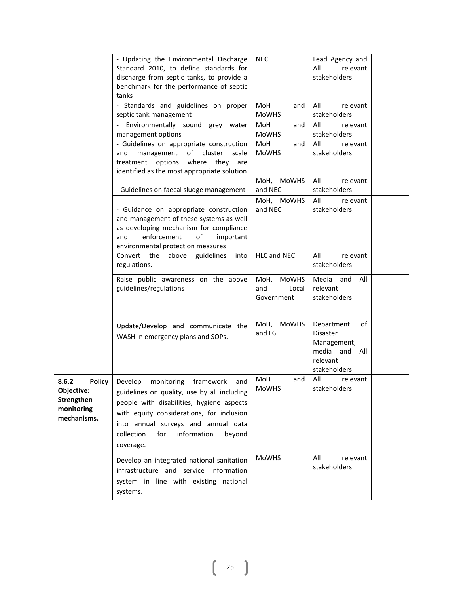|                                                                                 | - Updating the Environmental Discharge<br>Standard 2010, to define standards for<br>discharge from septic tanks, to provide a<br>benchmark for the performance of septic<br>tanks                                                                                                    | <b>NEC</b>                     | Lead Agency and<br>All<br>relevant<br>stakeholders                                          |  |
|---------------------------------------------------------------------------------|--------------------------------------------------------------------------------------------------------------------------------------------------------------------------------------------------------------------------------------------------------------------------------------|--------------------------------|---------------------------------------------------------------------------------------------|--|
|                                                                                 | - Standards and guidelines on proper<br>septic tank management                                                                                                                                                                                                                       | MoH<br>and<br><b>MoWHS</b>     | All<br>relevant<br>stakeholders                                                             |  |
|                                                                                 | Environmentally sound grey<br>water<br>management options                                                                                                                                                                                                                            | MoH<br>and<br><b>MoWHS</b>     | All<br>relevant<br>stakeholders                                                             |  |
|                                                                                 | - Guidelines on appropriate construction<br>management<br>of<br>cluster<br>scale<br>and<br>treatment options<br>where<br>they<br>are<br>identified as the most appropriate solution                                                                                                  | MoH<br>and<br><b>MoWHS</b>     | All<br>relevant<br>stakeholders                                                             |  |
|                                                                                 | - Guidelines on faecal sludge management                                                                                                                                                                                                                                             | MoH, MoWHS<br>and NEC          | All<br>relevant<br>stakeholders                                                             |  |
|                                                                                 | - Guidance on appropriate construction<br>and management of these systems as well<br>as developing mechanism for compliance<br>enforcement<br>of<br>and<br>important<br>environmental protection measures                                                                            | MoH, MoWHS<br>and NEC          | All<br>relevant<br>stakeholders                                                             |  |
|                                                                                 | Convert the<br>above<br>guidelines<br>into<br>regulations.                                                                                                                                                                                                                           | HLC and NEC                    | All<br>relevant<br>stakeholders                                                             |  |
|                                                                                 | Raise public awareness on the above<br>guidelines/regulations                                                                                                                                                                                                                        | MoH, MoWHS<br>and<br>Local     | Media and<br>All<br>relevant                                                                |  |
|                                                                                 |                                                                                                                                                                                                                                                                                      | Government                     | stakeholders                                                                                |  |
|                                                                                 | Update/Develop and communicate the<br>WASH in emergency plans and SOPs.                                                                                                                                                                                                              | MoH,<br><b>MoWHS</b><br>and LG | Department<br>of<br>Disaster<br>Management,<br>media and<br>All<br>relevant<br>stakeholders |  |
| 8.6.2<br><b>Policy</b><br>Objective:<br>Strengthen<br>monitoring<br>mechanisms. | Develop<br>monitoring<br>framework<br>and<br>guidelines on quality, use by all including<br>people with disabilities, hygiene aspects<br>with equity considerations, for inclusion<br>into annual surveys and annual data<br>for<br>information<br>collection<br>beyond<br>coverage. | MoH<br>and<br>MoWHS            | All<br>relevant<br>stakeholders                                                             |  |